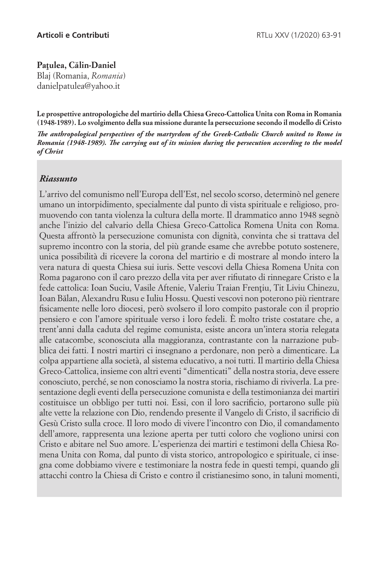## Patulea, Călin-Daniel

Blaj (Romania, *Romania*) danielpatulea@yahoo.it

**Le prospettive antropologiche del martirio della Chiesa Greco-Cattolica Unita con Roma in Romania (1948-1989). Lo svolgimento della sua missione durante la persecuzione secondo il modello di Cristo**

*The anthropological perspectives of the martyrdom of the Greek-Catholic Church united to Rome in Romania (1948-1989). The carrying out of its mission during the persecution according to the model of Christ*

## *Riassunto*

L'arrivo del comunismo nell'Europa dell'Est, nel secolo scorso, determinò nel genere umano un intorpidimento, specialmente dal punto di vista spirituale e religioso, promuovendo con tanta violenza la cultura della morte. Il drammatico anno 1948 segnò anche l'inizio del calvario della Chiesa Greco-Cattolica Romena Unita con Roma. Questa affrontò la persecuzione comunista con dignità, convinta che si trattava del supremo incontro con la storia, del più grande esame che avrebbe potuto sostenere, unica possibilità di ricevere la corona del martirio e di mostrare al mondo intero la vera natura di questa Chiesa sui iuris. Sette vescovi della Chiesa Romena Unita con Roma pagarono con il caro prezzo della vita per aver rifiutato di rinnegare Cristo e la fede cattolica: Ioan Suciu, Vasile Aftenie, Valeriu Traian Frențiu, Tit Liviu Chinezu, Ioan Ba˘lan, Alexandru Rusu e Iuliu Hossu. Questi vescovi non poterono più rientrare fisicamente nelle loro diocesi, però svolsero il loro compito pastorale con il proprio pensiero e con l'amore spirituale verso i loro fedeli. È molto triste costatare che, a trent'anni dalla caduta del regime comunista, esiste ancora un'intera storia relegata alle catacombe, sconosciuta alla maggioranza, contrastante con la narrazione pubblica dei fatti. I nostri martiri ci insegnano a perdonare, non però a dimenticare. La colpa appartiene alla società, al sistema educativo, a noi tutti. Il martirio della Chiesa Greco-Cattolica, insieme con altri eventi "dimenticati" della nostra storia, deve essere conosciuto, perché, se non conosciamo la nostra storia, rischiamo di riviverla. La presentazione degli eventi della persecuzione comunista e della testimonianza dei martiri costituisce un obbligo per tutti noi. Essi, con il loro sacrificio, portarono sulle più alte vette la relazione con Dio, rendendo presente il Vangelo di Cristo, il sacrificio di Gesù Cristo sulla croce. Il loro modo di vivere l'incontro con Dio, il comandamento dell'amore, rappresenta una lezione aperta per tutti coloro che vogliono unirsi con Cristo e abitare nel Suo amore. L'esperienza dei martiri e testimoni della Chiesa Romena Unita con Roma, dal punto di vista storico, antropologico e spirituale, ci insegna come dobbiamo vivere e testimoniare la nostra fede in questi tempi, quando gli attacchi contro la Chiesa di Cristo e contro il cristianesimo sono, in taluni momenti,